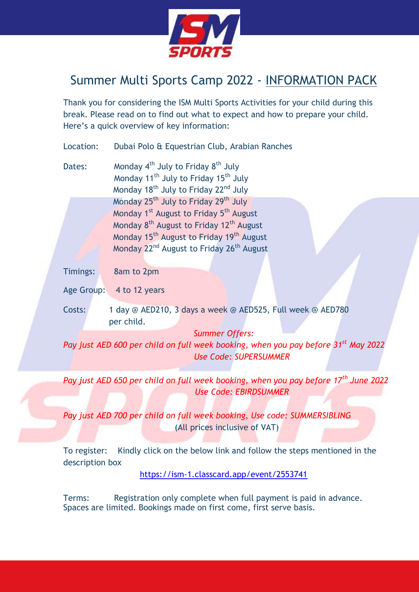

## Summer Multi Sports Camp 2022 - INFORMATION PACK

Thank you for considering the ISM Multi Sports Activities for your child during this break. Please read on to find out what to expect and how to prepare your child. Here's a quick overview of key information:

| Location: | Dubai Polo & Equestrian Club, Arabian Ranches                                                                                                                                              |
|-----------|--------------------------------------------------------------------------------------------------------------------------------------------------------------------------------------------|
| Dates:    | Monday 4 <sup>th</sup> July to Friday 8 <sup>th</sup> July<br>Monday 11 <sup>th</sup> July to Friday 15 <sup>th</sup> July<br>Monday 18 <sup>th</sup> July to Friday 22 <sup>nd</sup> July |
|           | Monday 25 <sup>th</sup> July to Friday 29 <sup>th</sup> July<br>Monday 1 <sup>st</sup> August to Friday 5 <sup>th</sup> August                                                             |
|           | Monday 8 <sup>th</sup> August to Friday 12 <sup>th</sup> August                                                                                                                            |
|           | Monday 15 <sup>th</sup> August to Friday 19 <sup>th</sup> August                                                                                                                           |
|           | Monday 22 <sup>nd</sup> August to Friday 26 <sup>th</sup> August                                                                                                                           |
| Timings:  | 8am to 2pm                                                                                                                                                                                 |
|           | Age Group: 4 to 12 years                                                                                                                                                                   |
| Costs:    | 1 day @ AED210, 3 days a week @ AED525, Full week @ AED780                                                                                                                                 |
|           | per child.                                                                                                                                                                                 |
|           | <b>Summer Offers:</b>                                                                                                                                                                      |
|           | Pay just AED 600 per child on full week booking, when you pay before 31 <sup>st</sup> May 2022                                                                                             |
|           | <b>Use Code: SUPERSUMMER</b>                                                                                                                                                               |

*Pay just AED 650 per child on full week booking, when you pay before 17th June 2022 Use Code: EBIRDSUMMER*

*Pay just AED 700 per child on full week booking, Use code: SUMMERSIBLING* (All prices inclusive of VAT)

To register: Kindly click on the below link and follow the steps mentioned in the description box

<https://ism-1.classcard.app/event/2553741>

Terms: Registration only complete when full payment is paid in advance. Spaces are limited. Bookings made on first come, first serve basis.